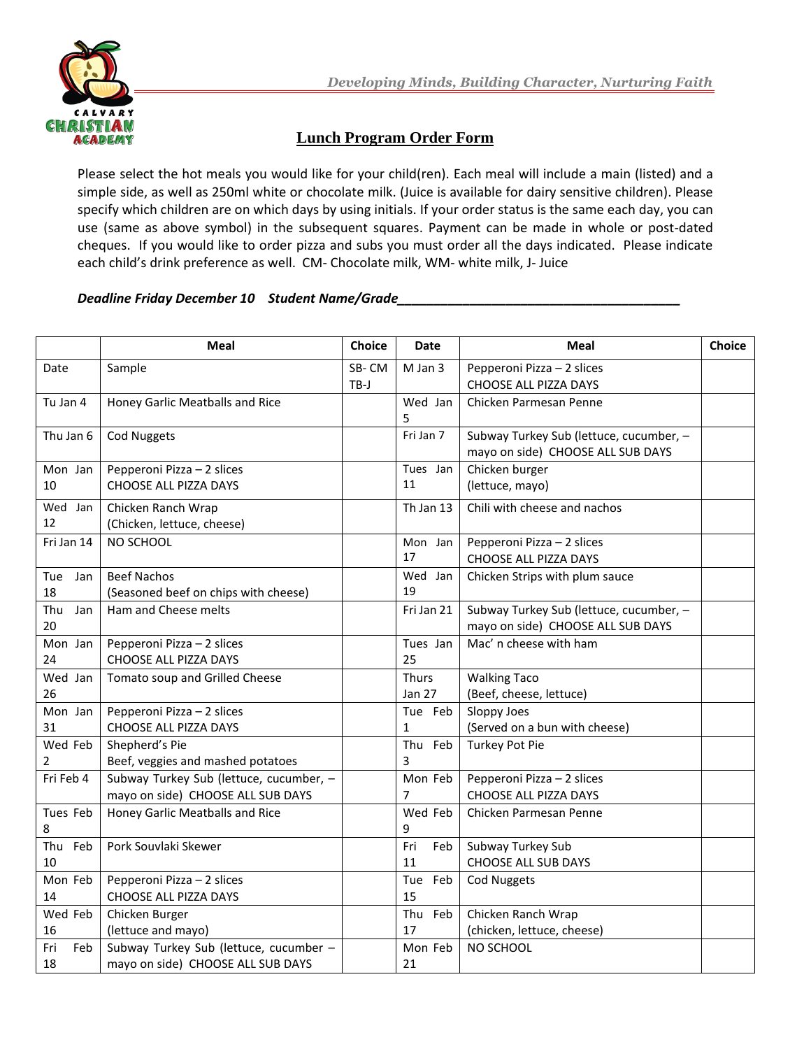

## **Lunch Program Order Form**

Please select the hot meals you would like for your child(ren). Each meal will include a main (listed) and a simple side, as well as 250ml white or chocolate milk. (Juice is available for dairy sensitive children). Please specify which children are on which days by using initials. If your order status is the same each day, you can use (same as above symbol) in the subsequent squares. Payment can be made in whole or post-dated cheques. If you would like to order pizza and subs you must order all the days indicated. Please indicate each child's drink preference as well. CM- Chocolate milk, WM- white milk, J- Juice

## *Deadline Friday December 10 Student Name/Grade\_\_\_\_\_\_\_\_\_\_\_\_\_\_\_\_\_\_\_\_\_\_\_\_\_\_\_\_\_\_\_\_\_\_\_\_\_\_\_*

|                  | <b>Meal</b>                                                                  | <b>Choice</b> | Date                          | Meal                                                                         | <b>Choice</b> |
|------------------|------------------------------------------------------------------------------|---------------|-------------------------------|------------------------------------------------------------------------------|---------------|
| Date             | Sample                                                                       | SB-CM<br>TB-J | M Jan 3                       | Pepperoni Pizza - 2 slices<br>CHOOSE ALL PIZZA DAYS                          |               |
| Tu Jan 4         | Honey Garlic Meatballs and Rice                                              |               | Wed Jan<br>5                  | Chicken Parmesan Penne                                                       |               |
| Thu Jan 6        | <b>Cod Nuggets</b>                                                           |               | Fri Jan 7                     | Subway Turkey Sub (lettuce, cucumber, -<br>mayo on side) CHOOSE ALL SUB DAYS |               |
| Mon Jan<br>10    | Pepperoni Pizza - 2 slices<br>CHOOSE ALL PIZZA DAYS                          |               | Tues Jan<br>11                | Chicken burger<br>(lettuce, mayo)                                            |               |
| Wed Jan<br>12    | Chicken Ranch Wrap<br>(Chicken, lettuce, cheese)                             |               | Th Jan 13                     | Chili with cheese and nachos                                                 |               |
| Fri Jan 14       | NO SCHOOL                                                                    |               | Mon Jan<br>17                 | Pepperoni Pizza - 2 slices<br>CHOOSE ALL PIZZA DAYS                          |               |
| Tue<br>Jan<br>18 | <b>Beef Nachos</b><br>(Seasoned beef on chips with cheese)                   |               | Wed Jan<br>19                 | Chicken Strips with plum sauce                                               |               |
| Thu<br>Jan<br>20 | Ham and Cheese melts                                                         |               | Fri Jan 21                    | Subway Turkey Sub (lettuce, cucumber, -<br>mayo on side) CHOOSE ALL SUB DAYS |               |
| Mon Jan<br>24    | Pepperoni Pizza - 2 slices<br>CHOOSE ALL PIZZA DAYS                          |               | Tues Jan<br>25                | Mac' n cheese with ham                                                       |               |
| Wed Jan<br>26    | Tomato soup and Grilled Cheese                                               |               | <b>Thurs</b><br><b>Jan 27</b> | <b>Walking Taco</b><br>(Beef, cheese, lettuce)                               |               |
| Mon Jan<br>31    | Pepperoni Pizza - 2 slices<br>CHOOSE ALL PIZZA DAYS                          |               | Tue Feb<br>1                  | Sloppy Joes<br>(Served on a bun with cheese)                                 |               |
| Wed Feb<br>2     | Shepherd's Pie<br>Beef, veggies and mashed potatoes                          |               | Thu Feb<br>3                  | <b>Turkey Pot Pie</b>                                                        |               |
| Fri Feb 4        | Subway Turkey Sub (lettuce, cucumber, -<br>mayo on side) CHOOSE ALL SUB DAYS |               | Mon Feb<br>7                  | Pepperoni Pizza - 2 slices<br>CHOOSE ALL PIZZA DAYS                          |               |
| Tues Feb<br>8    | Honey Garlic Meatballs and Rice                                              |               | Wed Feb<br>9                  | Chicken Parmesan Penne                                                       |               |
| Thu Feb<br>10    | Pork Souvlaki Skewer                                                         |               | Fri<br>Feb<br>11              | Subway Turkey Sub<br><b>CHOOSE ALL SUB DAYS</b>                              |               |
| Mon Feb<br>14    | Pepperoni Pizza - 2 slices<br>CHOOSE ALL PIZZA DAYS                          |               | Tue Feb<br>15                 | <b>Cod Nuggets</b>                                                           |               |
| Wed Feb<br>16    | Chicken Burger<br>(lettuce and mayo)                                         |               | Thu Feb<br>17                 | Chicken Ranch Wrap<br>(chicken, lettuce, cheese)                             |               |
| Fri<br>Feb<br>18 | Subway Turkey Sub (lettuce, cucumber -<br>mayo on side) CHOOSE ALL SUB DAYS  |               | Mon Feb<br>21                 | NO SCHOOL                                                                    |               |